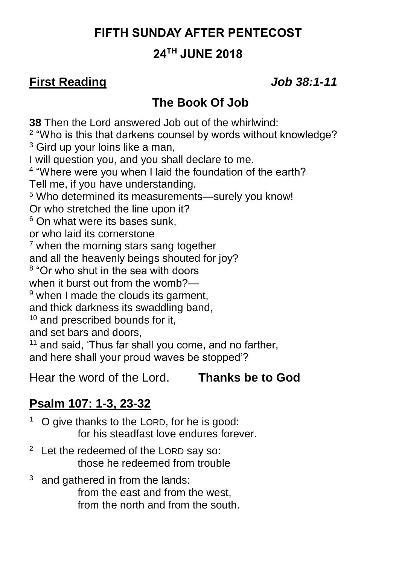#### **FIFTH SUNDAY AFTER PENTECOST**

#### **24TH JUNE 2018**

#### **First Reading** *Job 38:1-11*

#### **The Book Of Job**

**38** Then the Lord answered Job out of the whirlwind: <sup>2</sup> "Who is this that darkens counsel by words without knowledge? <sup>3</sup> Gird up your loins like a man, I will question you, and you shall declare to me. 4 "Where were you when I laid the foundation of the earth? Tell me, if you have understanding. <sup>5</sup> Who determined its measurements—surely you know! Or who stretched the line upon it?  $6$  On what were its bases sunk. or who laid its cornerstone <sup>7</sup> when the morning stars sang together and all the heavenly beings shouted for joy? <sup>8</sup> "Or who shut in the sea with doors when it burst out from the womb?— <sup>9</sup> when I made the clouds its garment, and thick darkness its swaddling band,  $10$  and prescribed bounds for it. and set bars and doors, <sup>11</sup> and said, 'Thus far shall you come, and no farther, and here shall your proud waves be stopped'?

Hear the word of the Lord. **Thanks be to God**

### **Psalm 107: 1-3, 23-32**

<sup>1</sup> O give thanks to the LORD, for he is good: for his steadfast love endures forever.

- $2$  Let the redeemed of the LORD say so: those he redeemed from trouble
- $3\text{ }$  and gathered in from the lands: from the east and from the west, from the north and from the south.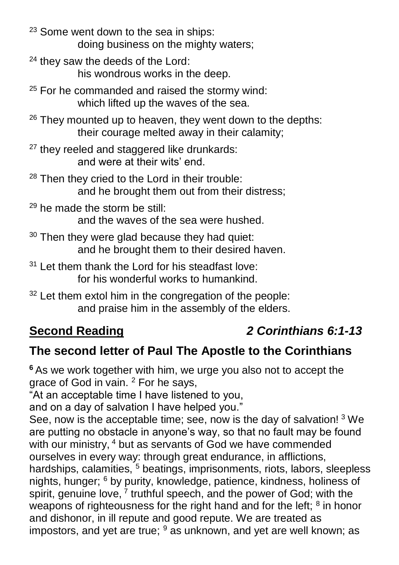<sup>23</sup> Some went down to the sea in ships: doing business on the mighty waters;

- $24$  they saw the deeds of the Lord: his wondrous works in the deep.
- $25$  For he commanded and raised the stormy wind: which lifted up the waves of the sea.
- $26$  They mounted up to heaven, they went down to the depths: their courage melted away in their calamity;
- $27$  they reeled and staggered like drunkards: and were at their wits' end.
- <sup>28</sup> Then they cried to the Lord in their trouble: and he brought them out from their distress;
- $29$  he made the storm be still: and the waves of the sea were hushed.
- $30$  Then they were glad because they had quiet: and he brought them to their desired haven.
- $31$  Let them thank the Lord for his steadfast love: for his wonderful works to humankind.
- 32 Let them extol him in the congregation of the people: and praise him in the assembly of the elders.

## **Second Reading** *2 Corinthians 6:1-13*

### **The second letter of Paul The Apostle to the Corinthians**

**<sup>6</sup>** As we work together with him, we urge you also not to accept the grace of God in vain. <sup>2</sup> For he says,

"At an acceptable time I have listened to you,

and on a day of salvation I have helped you."

See, now is the acceptable time; see, now is the day of salvation! <sup>3</sup> We are putting no obstacle in anyone's way, so that no fault may be found with our ministry, <sup>4</sup> but as servants of God we have commended ourselves in every way: through great endurance, in afflictions, hardships, calamities, <sup>5</sup> beatings, imprisonments, riots, labors, sleepless nights, hunger; <sup>6</sup> by purity, knowledge, patience, kindness, holiness of spirit, genuine love, <sup>7</sup> truthful speech, and the power of God; with the weapons of righteousness for the right hand and for the left;  $8$  in honor and dishonor, in ill repute and good repute. We are treated as impostors, and yet are true;  $9$  as unknown, and yet are well known; as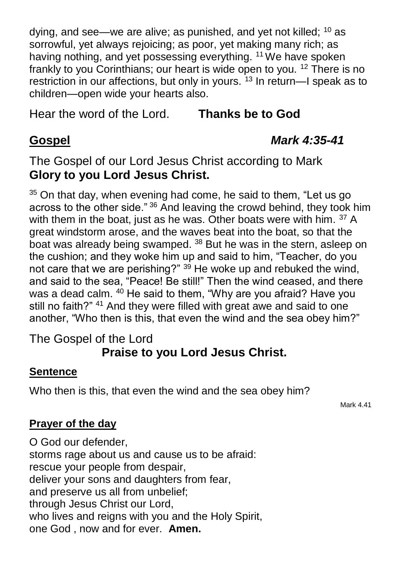dying, and see—we are alive; as punished, and yet not killed; <sup>10</sup> as sorrowful, yet always rejoicing; as poor, yet making many rich; as having nothing, and yet possessing everything. <sup>11</sup> We have spoken frankly to you Corinthians; our heart is wide open to you. <sup>12</sup> There is no restriction in our affections, but only in yours.<sup>13</sup> In return-I speak as to children—open wide your hearts also.

Hear the word of the Lord. **Thanks be to God**

#### **Gospel** *Mark 4:35-41*

The Gospel of our Lord Jesus Christ according to Mark **Glory to you Lord Jesus Christ.**

 $35$  On that day, when evening had come, he said to them, "Let us go across to the other side." <sup>36</sup> And leaving the crowd behind, they took him with them in the boat, just as he was. Other boats were with him. <sup>37</sup> A great windstorm arose, and the waves beat into the boat, so that the boat was already being swamped. <sup>38</sup> But he was in the stern, asleep on the cushion; and they woke him up and said to him, "Teacher, do you not care that we are perishing?" <sup>39</sup> He woke up and rebuked the wind, and said to the sea, "Peace! Be still!" Then the wind ceased, and there was a dead calm. <sup>40</sup> He said to them, "Why are you afraid? Have you still no faith?" <sup>41</sup> And they were filled with great awe and said to one another, "Who then is this, that even the wind and the sea obey him?"

#### The Gospel of the Lord **Praise to you Lord Jesus Christ.**

#### **Sentence**

Who then is this, that even the wind and the sea obey him?

Mark 4.41

#### **Prayer of the day**

O God our defender, storms rage about us and cause us to be afraid: rescue your people from despair, deliver your sons and daughters from fear, and preserve us all from unbelief; through Jesus Christ our Lord, who lives and reigns with you and the Holy Spirit, one God , now and for ever. **Amen.**